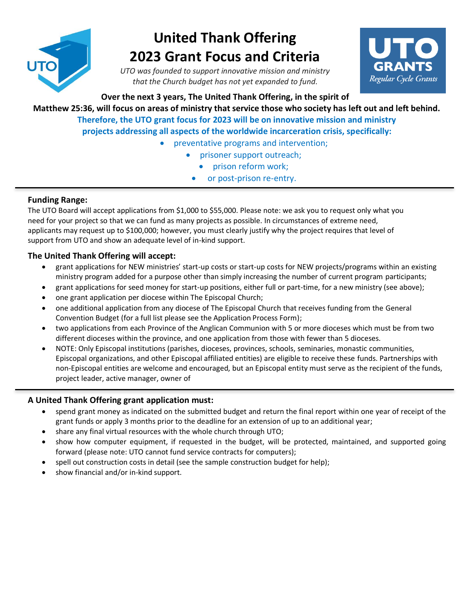

# **United Thank Offering 2023 Grant Focus and Criteria**

*UTO was founded to support innovative mission and ministry that the Church budget has not yet expanded to fund.*



**Over the next 3 years, The United Thank Offering, in the spirit of** 

**Matthew 25:36, will focus on areas of ministry that service those who society has left out and left behind. Therefore, the UTO grant focus for 2023 will be on innovative mission and ministry projects addressing all aspects of the worldwide incarceration crisis, specifically:**

- preventative programs and intervention;
	- prisoner support outreach;
		- prison reform work;
		- or post-prison re-entry.

## **Funding Range:**

The UTO Board will accept applications from \$1,000 to \$55,000. Please note: we ask you to request only what you need for your project so that we can fund as many projects as possible. In circumstances of extreme need, applicants may request up to \$100,000; however, you must clearly justify why the project requires that level of support from UTO and show an adequate level of in-kind support.

## **The United Thank Offering will accept:**

- grant applications for NEW ministries' start-up costs or start-up costs for NEW projects/programs within an existing ministry program added for a purpose other than simply increasing the number of current program participants;
- grant applications for seed money for start-up positions, either full or part-time, for a new ministry (see above);
- one grant application per diocese within The Episcopal Church;
- one additional application from any diocese of The Episcopal Church that receives funding from the General Convention Budget (for a full list please see the Application Process Form);
- two applications from each Province of the Anglican Communion with 5 or more dioceses which must be from two different dioceses within the province, and one application from those with fewer than 5 dioceses.
- NOTE: Only Episcopal institutions (parishes, dioceses, provinces, schools, seminaries, monastic communities, Episcopal organizations, and other Episcopal affiliated entities) are eligible to receive these funds. Partnerships with non-Episcopal entities are welcome and encouraged, but an Episcopal entity must serve as the recipient of the funds, project leader, active manager, owner of

### **A United Thank Offering grant application must:**

- spend grant money as indicated on the submitted budget and return the final report within one year of receipt of the grant funds or apply 3 months prior to the deadline for an extension of up to an additional year;
- share any final virtual resources with the whole church through UTO;
- show how computer equipment, if requested in the budget, will be protected, maintained, and supported going forward (please note: UTO cannot fund service contracts for computers);
- spell out construction costs in detail (see the sample construction budget for help);
- show financial and/or in-kind support.